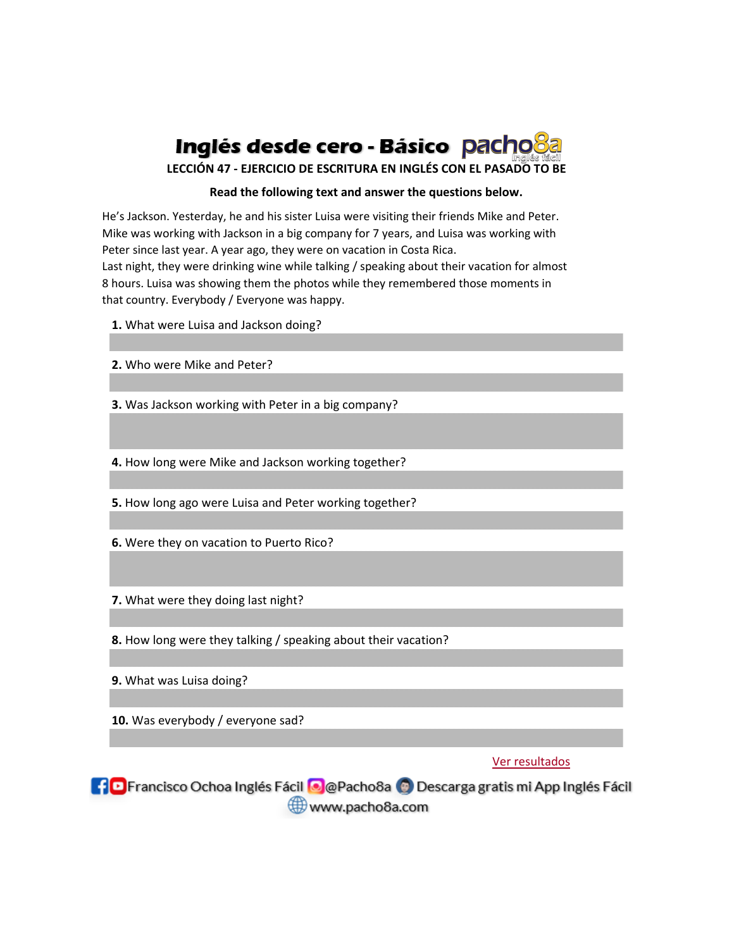

**LECCIÓN 47 - EJERCICIO DE ESCRITURA EN INGLÉS CON EL PASADO TO BE**

## **Read the following text and answer the questions below.**

He's Jackson. Yesterday, he and his sister Luisa were visiting their friends Mike and Peter. Mike was working with Jackson in a big company for 7 years, and Luisa was working with Peter since last year. A year ago, they were on vacation in Costa Rica. Last night, they were drinking wine while talking / speaking about their vacation for almost

8 hours. Luisa was showing them the photos while they remembered those moments in that country. Everybody / Everyone was happy.

**1.** What were Luisa and Jackson doing?

**2.** Who were Mike and Peter?

**3.** Was Jackson working with Peter in a big company?

**4.** How long were Mike and Jackson working together?

**5.** How long ago were Luisa and Peter working together?

**6.** Were they on vacation to Puerto Rico?

**7.** What were they doing last night?

**8.** How long were they talking / speaking about their vacation?

**9.** What was Luisa doing?

**10.** Was everybody / everyone sad?

## Ver resultados

**10** Francisco Ochoa Inglés Fácil **O** @Pacho8a **O** Descarga gratis mi App Inglés Fácil www.pacho8a.com